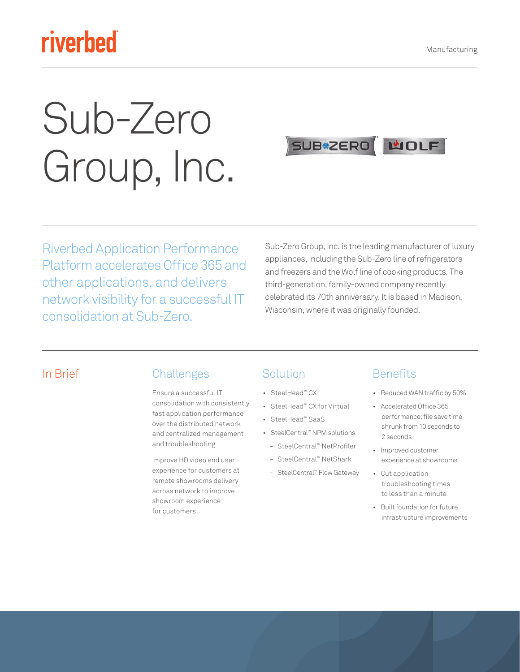# riverbed

# Sub-Zero Group, Inc.



Riverbed Application Performance Platform accelerates Office 365 and other applications, and delivers network visibility for a successful IT consolidation at Sub-Zero.

Sub-Zero Group, Inc. is the leading manufacturer of luxury appliances, including the Sub-Zero line of refrigerators and freezers and the Wolf line of cooking products. The third-generation, family-owned company recently celebrated its 70th anniversary. It is based in Madison, Wisconsin, where it was originally founded.

#### In Brief Challenges

Ensure a successful IT consolidation with consistently fast application performance over the distributed network and centralized management and troubleshooting

Improve HD video end user experience for customers at remote showrooms delivery across network to improve showroom experience for customers

#### Solution

- SteelHead™ CX
- SteelHead™ CX for Virtual
- SteelHead™ SaaS
- SteelCentral™ NPM solutions – SteelCentral™ NetProfiler
	- SteelCentral™ NetShark
	-
	- SteelCentral™ Flow Gateway

#### **Benefits**

- Reduced WAN traffic by 50%
- Accelerated Office 365 performance; file save time shrunk from 10 seconds to 2 seconds
- Improved customer experience at showrooms
- Cut application troubleshooting times to less than a minute
- Built foundation for future infrastructure improvements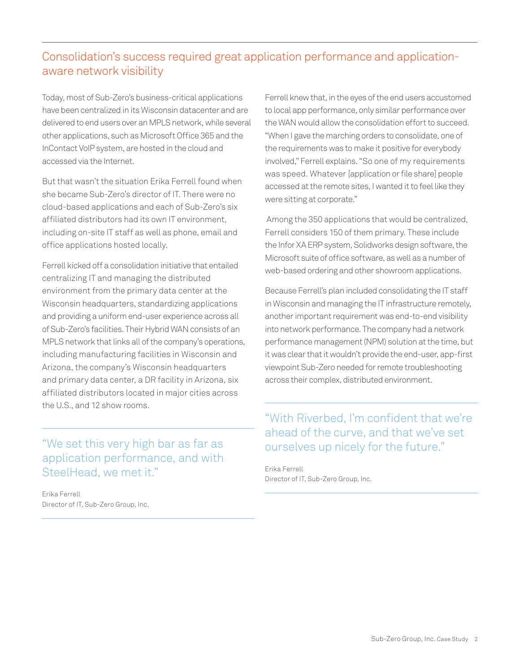### Consolidation's success required great application performance and applicationaware network visibility

Today, most of Sub-Zero's business-critical applications have been centralized in its Wisconsin datacenter and are delivered to end users over an MPLS network, while several other applications, such as Microsoft Office 365 and the InContact VoIP system, are hosted in the cloud and accessed via the Internet.

But that wasn't the situation Erika Ferrell found when she became Sub-Zero's director of IT. There were no cloud-based applications and each of Sub-Zero's six affiliated distributors had its own IT environment, including on-site IT staff as well as phone, email and office applications hosted locally.

Ferrell kicked off a consolidation initiative that entailed centralizing IT and managing the distributed environment from the primary data center at the Wisconsin headquarters, standardizing applications and providing a uniform end-user experience across all of Sub-Zero's facilities. Their Hybrid WAN consists of an MPLS network that links all of the company's operations, including manufacturing facilities in Wisconsin and Arizona, the company's Wisconsin headquarters and primary data center, a DR facility in Arizona, six affiliated distributors located in major cities across the U.S., and 12 show rooms.

"We set this very high bar as far as application performance, and with SteelHead, we met it."

Erika Ferrell Director of IT, Sub-Zero Group, Inc. Ferrell knew that, in the eyes of the end users accustomed to local app performance, only similar performance over the WAN would allow the consolidation effort to succeed. "When I gave the marching orders to consolidate, one of the requirements was to make it positive for everybody involved," Ferrell explains. "So one of my requirements was speed. Whatever [application or file share] people accessed at the remote sites, I wanted it to feel like they were sitting at corporate."

 Among the 350 applications that would be centralized, Ferrell considers 150 of them primary. These include the Infor XA ERP system, Solidworks design software, the Microsoft suite of office software, as well as a number of web-based ordering and other showroom applications.

Because Ferrell's plan included consolidating the IT staff in Wisconsin and managing the IT infrastructure remotely, another important requirement was end-to-end visibility into network performance. The company had a network performance management (NPM) solution at the time, but it was clear that it wouldn't provide the end-user, app-first viewpoint Sub-Zero needed for remote troubleshooting across their complex, distributed environment.

#### "With Riverbed, I'm confident that we're ahead of the curve, and that we've set ourselves up nicely for the future."

Erika Ferrell Director of IT, Sub-Zero Group, Inc.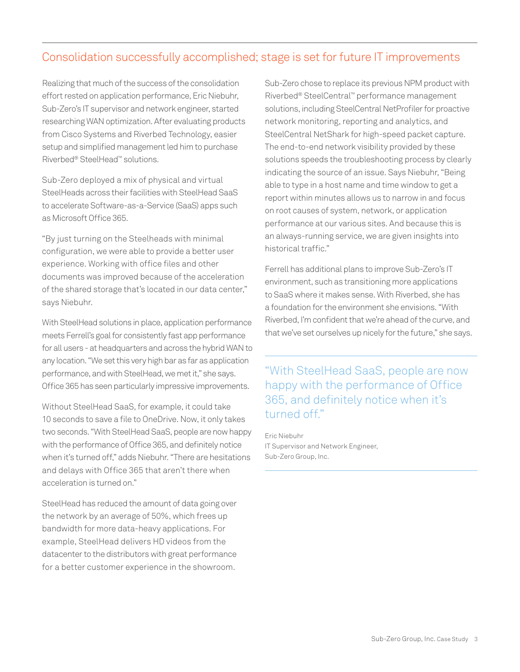#### Consolidation successfully accomplished; stage is set for future IT improvements

Realizing that much of the success of the consolidation effort rested on application performance, Eric Niebuhr, Sub-Zero's IT supervisor and network engineer, started researching WAN optimization. After evaluating products from Cisco Systems and Riverbed Technology, easier setup and simplified management led him to purchase Riverbed® SteelHead™ solutions.

Sub-Zero deployed a mix of physical and virtual SteelHeads across their facilities with SteelHead SaaS to accelerate Software-as-a-Service (SaaS) apps such as Microsoft Office 365.

"By just turning on the Steelheads with minimal configuration, we were able to provide a better user experience. Working with office files and other documents was improved because of the acceleration of the shared storage that's located in our data center," says Niebuhr.

With SteelHead solutions in place, application performance meets Ferrell's goal for consistently fast app performance for all users - at headquarters and across the hybrid WAN to any location. "We set this very high bar as far as application performance, and with SteelHead, we met it," she says. Office 365 has seen particularly impressive improvements.

Without SteelHead SaaS, for example, it could take 10 seconds to save a file to OneDrive. Now, it only takes two seconds. "With SteelHead SaaS, people are now happy with the performance of Office 365, and definitely notice when it's turned off," adds Niebuhr. "There are hesitations and delays with Office 365 that aren't there when acceleration is turned on."

SteelHead has reduced the amount of data going over the network by an average of 50%, which frees up bandwidth for more data-heavy applications. For example, SteelHead delivers HD videos from the datacenter to the distributors with great performance for a better customer experience in the showroom.

Sub-Zero chose to replace its previous NPM product with Riverbed® SteelCentral™ performance management solutions, including SteelCentral NetProfiler for proactive network monitoring, reporting and analytics, and SteelCentral NetShark for high-speed packet capture. The end-to-end network visibility provided by these solutions speeds the troubleshooting process by clearly indicating the source of an issue. Says Niebuhr, "Being able to type in a host name and time window to get a report within minutes allows us to narrow in and focus on root causes of system, network, or application performance at our various sites. And because this is an always-running service, we are given insights into historical traffic."

Ferrell has additional plans to improve Sub-Zero's IT environment, such as transitioning more applications to SaaS where it makes sense. With Riverbed, she has a foundation for the environment she envisions. "With Riverbed, I'm confident that we're ahead of the curve, and that we've set ourselves up nicely for the future," she says.

"With SteelHead SaaS, people are now happy with the performance of Office 365, and definitely notice when it's turned off."

Eric Niebuhr IT Supervisor and Network Engineer, Sub-Zero Group, Inc.